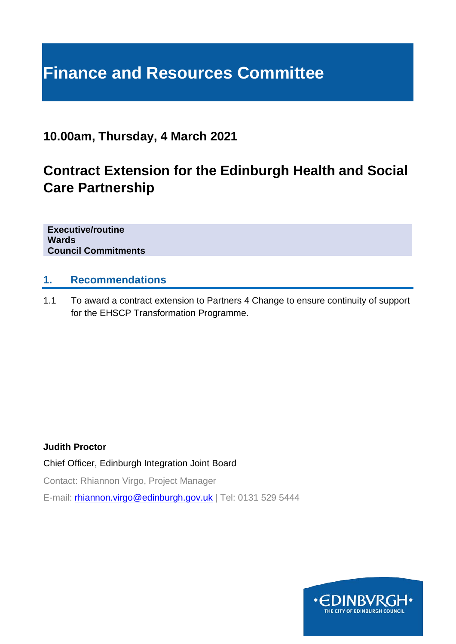# **Finance and Resources Committee**

# **10.00am, Thursday, 4 March 2021**

# **Contract Extension for the Edinburgh Health and Social Care Partnership**

**Executive/routine Wards Council Commitments**

## **1. Recommendations**

1.1 To award a contract extension to Partners 4 Change to ensure continuity of support for the EHSCP Transformation Programme.

#### **Judith Proctor**

Chief Officer, Edinburgh Integration Joint Board

Contact: Rhiannon Virgo, Project Manager

E-mail: *[rhiannon.virgo@edinburgh.gov.uk](mailto:rhiannon.virgo@edinburgh.gov.uk)* | Tel: 0131 529 5444

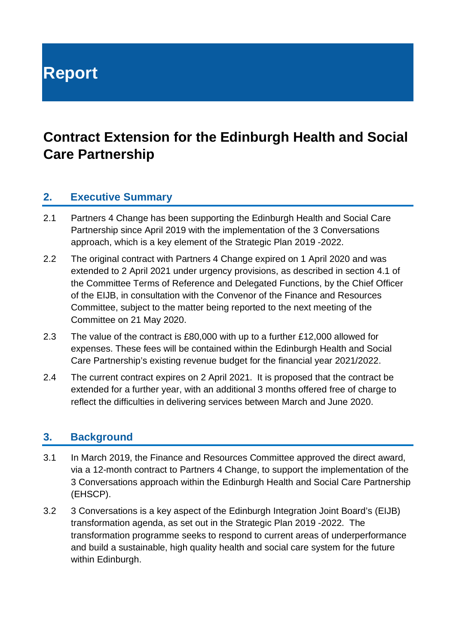**Report**

# **Contract Extension for the Edinburgh Health and Social Care Partnership**

## **2. Executive Summary**

- 2.1 Partners 4 Change has been supporting the Edinburgh Health and Social Care Partnership since April 2019 with the implementation of the 3 Conversations approach, which is a key element of the Strategic Plan 2019 -2022.
- 2.2 The original contract with Partners 4 Change expired on 1 April 2020 and was extended to 2 April 2021 under urgency provisions, as described in section 4.1 of the Committee Terms of Reference and Delegated Functions, by the Chief Officer of the EIJB, in consultation with the Convenor of the Finance and Resources Committee, subject to the matter being reported to the next meeting of the Committee on 21 May 2020.
- 2.3 The value of the contract is £80,000 with up to a further £12,000 allowed for expenses. These fees will be contained within the Edinburgh Health and Social Care Partnership's existing revenue budget for the financial year 2021/2022.
- 2.4 The current contract expires on 2 April 2021. It is proposed that the contract be extended for a further year, with an additional 3 months offered free of charge to reflect the difficulties in delivering services between March and June 2020.

#### **3. Background**

- 3.1 In March 2019, the Finance and Resources Committee approved the direct award, via a 12-month contract to Partners 4 Change, to support the implementation of the 3 Conversations approach within the Edinburgh Health and Social Care Partnership (EHSCP).
- 3.2 3 Conversations is a key aspect of the Edinburgh Integration Joint Board's (EIJB) transformation agenda, as set out in the Strategic Plan 2019 -2022. The transformation programme seeks to respond to current areas of underperformance and build a sustainable, high quality health and social care system for the future within Edinburgh.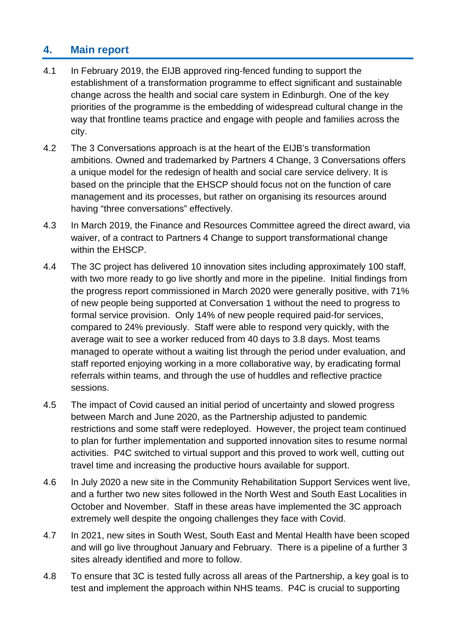# **4. Main report**

- 4.1 In February 2019, the EIJB approved ring-fenced funding to support the establishment of a transformation programme to effect significant and sustainable change across the health and social care system in Edinburgh. One of the key priorities of the programme is the embedding of widespread cultural change in the way that frontline teams practice and engage with people and families across the city.
- 4.2 The 3 Conversations approach is at the heart of the EIJB's transformation ambitions. Owned and trademarked by Partners 4 Change, 3 Conversations offers a unique model for the redesign of health and social care service delivery. It is based on the principle that the EHSCP should focus not on the function of care management and its processes, but rather on organising its resources around having "three conversations" effectively.
- 4.3 In March 2019, the Finance and Resources Committee agreed the direct award, via waiver, of a contract to Partners 4 Change to support transformational change within the EHSCP.
- 4.4 The 3C project has delivered 10 innovation sites including approximately 100 staff, with two more ready to go live shortly and more in the pipeline. Initial findings from the progress report commissioned in March 2020 were generally positive, with 71% of new people being supported at Conversation 1 without the need to progress to formal service provision. Only 14% of new people required paid-for services, compared to 24% previously. Staff were able to respond very quickly, with the average wait to see a worker reduced from 40 days to 3.8 days. Most teams managed to operate without a waiting list through the period under evaluation, and staff reported enjoying working in a more collaborative way, by eradicating formal referrals within teams, and through the use of huddles and reflective practice sessions.
- 4.5 The impact of Covid caused an initial period of uncertainty and slowed progress between March and June 2020, as the Partnership adjusted to pandemic restrictions and some staff were redeployed. However, the project team continued to plan for further implementation and supported innovation sites to resume normal activities. P4C switched to virtual support and this proved to work well, cutting out travel time and increasing the productive hours available for support.
- 4.6 In July 2020 a new site in the Community Rehabilitation Support Services went live, and a further two new sites followed in the North West and South East Localities in October and November. Staff in these areas have implemented the 3C approach extremely well despite the ongoing challenges they face with Covid.
- 4.7 In 2021, new sites in South West, South East and Mental Health have been scoped and will go live throughout January and February. There is a pipeline of a further 3 sites already identified and more to follow.
- 4.8 To ensure that 3C is tested fully across all areas of the Partnership, a key goal is to test and implement the approach within NHS teams. P4C is crucial to supporting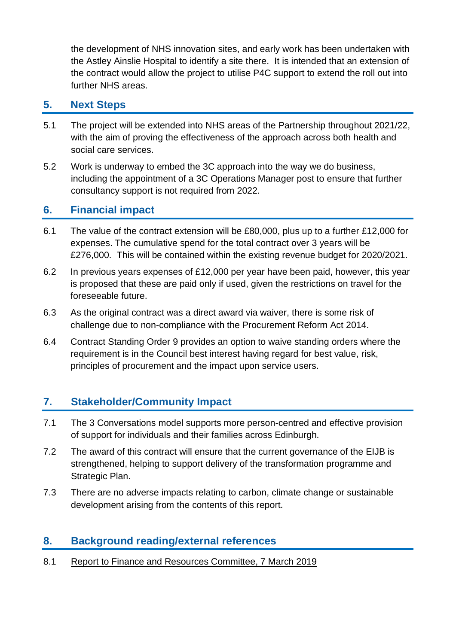the development of NHS innovation sites, and early work has been undertaken with the Astley Ainslie Hospital to identify a site there. It is intended that an extension of the contract would allow the project to utilise P4C support to extend the roll out into further NHS areas.

#### **5. Next Steps**

- 5.1 The project will be extended into NHS areas of the Partnership throughout 2021/22, with the aim of proving the effectiveness of the approach across both health and social care services.
- 5.2 Work is underway to embed the 3C approach into the way we do business, including the appointment of a 3C Operations Manager post to ensure that further consultancy support is not required from 2022.

# **6. Financial impact**

- 6.1 The value of the contract extension will be £80,000, plus up to a further £12,000 for expenses. The cumulative spend for the total contract over 3 years will be £276,000. This will be contained within the existing revenue budget for 2020/2021.
- 6.2 In previous years expenses of £12,000 per year have been paid, however, this year is proposed that these are paid only if used, given the restrictions on travel for the foreseeable future.
- 6.3 As the original contract was a direct award via waiver, there is some risk of challenge due to non-compliance with the Procurement Reform Act 2014.
- 6.4 Contract Standing Order 9 provides an option to waive standing orders where the requirement is in the Council best interest having regard for best value, risk, principles of procurement and the impact upon service users.

## **7. Stakeholder/Community Impact**

- 7.1 The 3 Conversations model supports more person-centred and effective provision of support for individuals and their families across Edinburgh.
- 7.2 The award of this contract will ensure that the current governance of the EIJB is strengthened, helping to support delivery of the transformation programme and Strategic Plan.
- 7.3 There are no adverse impacts relating to carbon, climate change or sustainable development arising from the contents of this report.

## **8. Background reading/external references**

8.1 [Report to Finance and Resources Committee, 7 March 2019](https://democracy.edinburgh.gov.uk/Data/Finance%20and%20Resources%20Committee/20190307/Agenda/item_716_-_contract_waiver_for_the_edinburgh_health_and_social_care_partnershippdf.pdf)